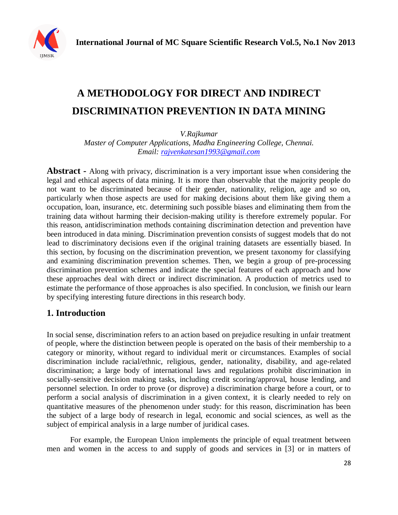

# **A METHODOLOGY FOR DIRECT AND INDIRECT DISCRIMINATION PREVENTION IN DATA MINING**

*V.Rajkumar*

*Master of Computer Applications, Madha Engineering College, Chennai. Email: [rajvenkatesan1993@gmail.com](mailto:rajvenkatesan1993@gmail.com)*

**Abstract -** Along with privacy, discrimination is a very important issue when considering the legal and ethical aspects of data mining. It is more than observable that the majority people do not want to be discriminated because of their gender, nationality, religion, age and so on, particularly when those aspects are used for making decisions about them like giving them a occupation, loan, insurance, etc. determining such possible biases and eliminating them from the training data without harming their decision-making utility is therefore extremely popular. For this reason, antidiscrimination methods containing discrimination detection and prevention have been introduced in data mining. Discrimination prevention consists of suggest models that do not lead to discriminatory decisions even if the original training datasets are essentially biased. In this section, by focusing on the discrimination prevention, we present taxonomy for classifying and examining discrimination prevention schemes. Then, we begin a group of pre-processing discrimination prevention schemes and indicate the special features of each approach and how these approaches deal with direct or indirect discrimination. A production of metrics used to estimate the performance of those approaches is also specified. In conclusion, we finish our learn by specifying interesting future directions in this research body.

# **1. Introduction**

In social sense, discrimination refers to an action based on prejudice resulting in unfair treatment of people, where the distinction between people is operated on the basis of their membership to a category or minority, without regard to individual merit or circumstances. Examples of social discrimination include racial/ethnic, religious, gender, nationality, disability, and age-related discrimination; a large body of international laws and regulations prohibit discrimination in socially-sensitive decision making tasks, including credit scoring/approval, house lending, and personnel selection. In order to prove (or disprove) a discrimination charge before a court, or to perform a social analysis of discrimination in a given context, it is clearly needed to rely on quantitative measures of the phenomenon under study: for this reason, discrimination has been the subject of a large body of research in legal, economic and social sciences, as well as the subject of empirical analysis in a large number of juridical cases.

For example, the European Union implements the principle of equal treatment between men and women in the access to and supply of goods and services in [3] or in matters of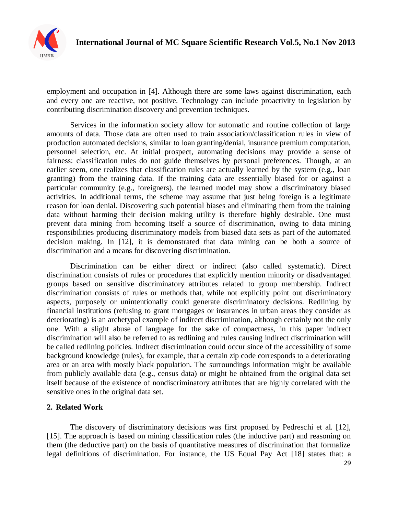

employment and occupation in [4]. Although there are some laws against discrimination, each and every one are reactive, not positive. Technology can include proactivity to legislation by contributing discrimination discovery and prevention techniques.

Services in the information society allow for automatic and routine collection of large amounts of data. Those data are often used to train association/classification rules in view of production automated decisions, similar to loan granting/denial, insurance premium computation, personnel selection, etc. At initial prospect, automating decisions may provide a sense of fairness: classification rules do not guide themselves by personal preferences. Though, at an earlier seem, one realizes that classification rules are actually learned by the system (e.g., loan granting) from the training data. If the training data are essentially biased for or against a particular community (e.g., foreigners), the learned model may show a discriminatory biased activities. In additional terms, the scheme may assume that just being foreign is a legitimate reason for loan denial. Discovering such potential biases and eliminating them from the training data without harming their decision making utility is therefore highly desirable. One must prevent data mining from becoming itself a source of discrimination, owing to data mining responsibilities producing discriminatory models from biased data sets as part of the automated decision making. In [12], it is demonstrated that data mining can be both a source of discrimination and a means for discovering discrimination.

Discrimination can be either direct or indirect (also called systematic). Direct discrimination consists of rules or procedures that explicitly mention minority or disadvantaged groups based on sensitive discriminatory attributes related to group membership. Indirect discrimination consists of rules or methods that, while not explicitly point out discriminatory aspects, purposely or unintentionally could generate discriminatory decisions. Redlining by financial institutions (refusing to grant mortgages or insurances in urban areas they consider as deteriorating) is an archetypal example of indirect discrimination, although certainly not the only one. With a slight abuse of language for the sake of compactness, in this paper indirect discrimination will also be referred to as redlining and rules causing indirect discrimination will be called redlining policies. Indirect discrimination could occur since of the accessibility of some background knowledge (rules), for example, that a certain zip code corresponds to a deteriorating area or an area with mostly black population. The surroundings information might be available from publicly available data (e.g., census data) or might be obtained from the original data set itself because of the existence of nondiscriminatory attributes that are highly correlated with the sensitive ones in the original data set.

### **2. Related Work**

The discovery of discriminatory decisions was first proposed by Pedreschi et al. [12], [15]. The approach is based on mining classification rules (the inductive part) and reasoning on them (the deductive part) on the basis of quantitative measures of discrimination that formalize legal definitions of discrimination. For instance, the US Equal Pay Act [18] states that: a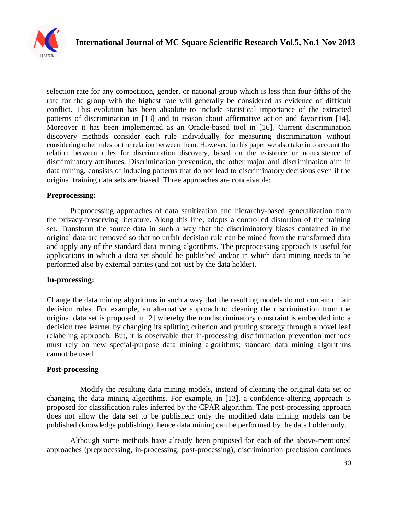

selection rate for any competition, gender, or national group which is less than four-fifths of the rate for the group with the highest rate will generally be considered as evidence of difficult conflict. This evolution has been absolute to include statistical importance of the extracted patterns of discrimination in [13] and to reason about affirmative action and favoritism [14]. Moreover it has been implemented as an Oracle-based tool in [16]. Current discrimination discovery methods consider each rule individually for measuring discrimination without considering other rules or the relation between them. However, in this paper we also take into account the relation between rules for discrimination discovery, based on the existence or nonexistence of discriminatory attributes. Discrimination prevention, the other major anti discrimination aim in data mining, consists of inducing patterns that do not lead to discriminatory decisions even if the original training data sets are biased. Three approaches are conceivable:

#### **Preprocessing:**

Preprocessing approaches of data sanitization and hierarchy-based generalization from the privacy-preserving literature. Along this line, adopts a controlled distortion of the training set. Transform the source data in such a way that the discriminatory biases contained in the original data are removed so that no unfair decision rule can be mined from the transformed data and apply any of the standard data mining algorithms. The preprocessing approach is useful for applications in which a data set should be published and/or in which data mining needs to be performed also by external parties (and not just by the data holder).

#### **In-processing:**

Change the data mining algorithms in such a way that the resulting models do not contain unfair decision rules. For example, an alternative approach to cleaning the discrimination from the original data set is proposed in [2] whereby the nondiscriminatory constraint is embedded into a decision tree learner by changing its splitting criterion and pruning strategy through a novel leaf relabeling approach. But, it is observable that in-processing discrimination prevention methods must rely on new special-purpose data mining algorithms; standard data mining algorithms cannot be used.

#### **Post-processing**

Modify the resulting data mining models, instead of cleaning the original data set or changing the data mining algorithms. For example, in [13], a confidence-altering approach is proposed for classification rules inferred by the CPAR algorithm. The post-processing approach does not allow the data set to be published: only the modified data mining models can be published (knowledge publishing), hence data mining can be performed by the data holder only.

Although some methods have already been proposed for each of the above-mentioned approaches (preprocessing, in-processing, post-processing), discrimination preclusion continues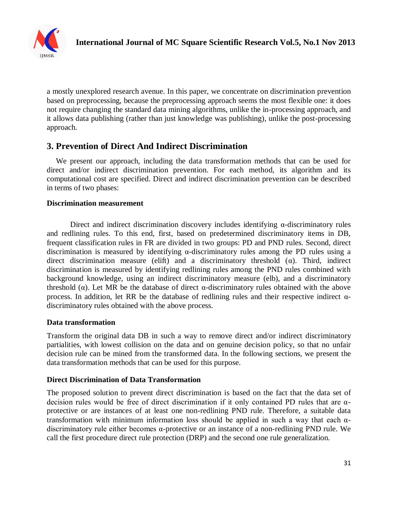

a mostly unexplored research avenue. In this paper, we concentrate on discrimination prevention based on preprocessing, because the preprocessing approach seems the most flexible one: it does not require changing the standard data mining algorithms, unlike the in-processing approach, and it allows data publishing (rather than just knowledge was publishing), unlike the post-processing approach.

## **3. Prevention of Direct And Indirect Discrimination**

We present our approach, including the data transformation methods that can be used for direct and/or indirect discrimination prevention. For each method, its algorithm and its computational cost are specified. Direct and indirect discrimination prevention can be described in terms of two phases:

### **Discrimination measurement**

Direct and indirect discrimination discovery includes identifying α-discriminatory rules and redlining rules. To this end, first, based on predetermined discriminatory items in DB, frequent classification rules in FR are divided in two groups: PD and PND rules. Second, direct discrimination is measured by identifying α-discriminatory rules among the PD rules using a direct discrimination measure (elift) and a discriminatory threshold  $(\alpha)$ . Third, indirect discrimination is measured by identifying redlining rules among the PND rules combined with background knowledge, using an indirect discriminatory measure (elb), and a discriminatory threshold (α). Let MR be the database of direct α-discriminatory rules obtained with the above process. In addition, let RR be the database of redlining rules and their respective indirect αdiscriminatory rules obtained with the above process.

### **Data transformation**

Transform the original data DB in such a way to remove direct and/or indirect discriminatory partialities, with lowest collision on the data and on genuine decision policy, so that no unfair decision rule can be mined from the transformed data. In the following sections, we present the data transformation methods that can be used for this purpose.

### **Direct Discrimination of Data Transformation**

The proposed solution to prevent direct discrimination is based on the fact that the data set of decision rules would be free of direct discrimination if it only contained PD rules that are αprotective or are instances of at least one non-redlining PND rule. Therefore, a suitable data transformation with minimum information loss should be applied in such a way that each αdiscriminatory rule either becomes α-protective or an instance of a non-redlining PND rule. We call the first procedure direct rule protection (DRP) and the second one rule generalization.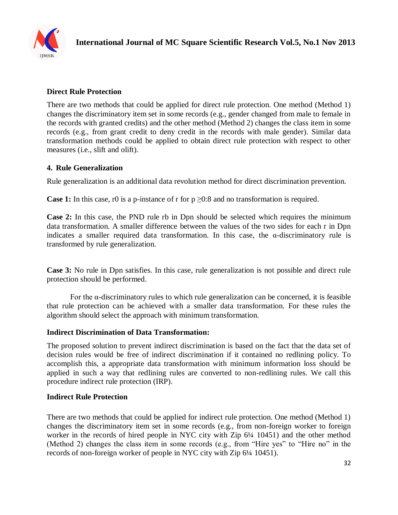

## **Direct Rule Protection**

There are two methods that could be applied for direct rule protection. One method (Method 1) changes the discriminatory item set in some records (e.g., gender changed from male to female in the records with granted credits) and the other method (Method 2) changes the class item in some records (e.g., from grant credit to deny credit in the records with male gender). Similar data transformation methods could be applied to obtain direct rule protection with respect to other measures (i.e., slift and olift).

### **4. Rule Generalization**

Rule generalization is an additional data revolution method for direct discrimination prevention.

**Case 1:** In this case, r0 is a p-instance of r for  $p \ge 0.8$  and no transformation is required.

Case 2: In this case, the PND rule rb in Dpn should be selected which requires the minimum data transformation. A smaller difference between the values of the two sides for each r in Dpn indicates a smaller required data transformation. In this case, the α-discriminatory rule is transformed by rule generalization.

**Case 3:** No rule in Dpn satisfies. In this case, rule generalization is not possible and direct rule protection should be performed.

For the α-discriminatory rules to which rule generalization can be concerned, it is feasible that rule protection can be achieved with a smaller data transformation. For these rules the algorithm should select the approach with minimum transformation.

### **Indirect Discrimination of Data Transformation:**

The proposed solution to prevent indirect discrimination is based on the fact that the data set of decision rules would be free of indirect discrimination if it contained no redlining policy. To accomplish this, a appropriate data transformation with minimum information loss should be applied in such a way that redlining rules are converted to non-redlining rules. We call this procedure indirect rule protection (IRP).

### **Indirect Rule Protection**

There are two methods that could be applied for indirect rule protection. One method (Method 1) changes the discriminatory item set in some records (e.g., from non-foreign worker to foreign worker in the records of hired people in NYC city with Zip 6¼ 10451) and the other method (Method 2) changes the class item in some records (e.g., from "Hire yes" to "Hire no" in the records of non-foreign worker of people in NYC city with Zip 6¼ 10451).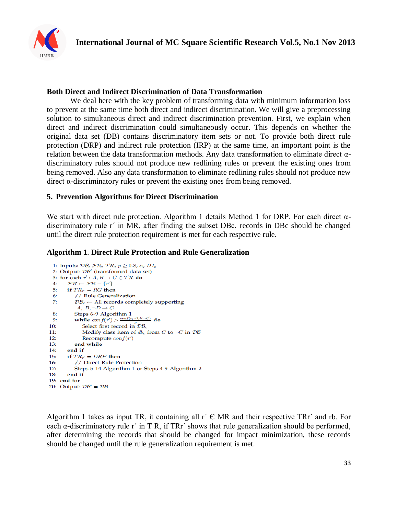

#### **Both Direct and Indirect Discrimination of Data Transformation**

We deal here with the key problem of transforming data with minimum information loss to prevent at the same time both direct and indirect discrimination. We will give a preprocessing solution to simultaneous direct and indirect discrimination prevention. First, we explain when direct and indirect discrimination could simultaneously occur. This depends on whether the original data set (DB) contains discriminatory item sets or not. To provide both direct rule protection (DRP) and indirect rule protection (IRP) at the same time, an important point is the relation between the data transformation methods. Any data transformation to eliminate direct αdiscriminatory rules should not produce new redlining rules or prevent the existing ones from being removed. Also any data transformation to eliminate redlining rules should not produce new direct  $α$ -discriminatory rules or prevent the existing ones from being removed.

### **5. Prevention Algorithms for Direct Discrimination**

We start with direct rule protection. Algorithm 1 details Method 1 for DRP. For each direct  $\alpha$ discriminatory rule r΄ in MR, after finding the subset DBc, records in DBc should be changed until the direct rule protection requirement is met for each respective rule.

### **Algorithm 1**. **Direct Rule Protection and Rule Generalization**

```
1: Inputs: \mathcal{DB}, \mathcal{FR}, \mathcal{TR}, p \geq 0.8, \alpha, DI_s2: Output: DB' (transformed data set)
 3: for each r' : A, B \to C \in T \mathcal{R} do
 4: \mathcal{FR} \leftarrow \mathcal{FR} - \{r'\}5:
      if TR_{r'} = RG then
 6.
           // Rule Generalization
 7:
           \mathcal{DB}_c \leftarrow All records completely supporting
            A, B, \neg D \rightarrow CSteps 6-9 Algorithm 1
 \mathbf{R}while conf(r') > \frac{conf(r_b:D,B\rightarrow C)}{n} do
 9:10:Select first record in \mathcal{DB}_cModify class item of db_c from C to \neg C in \mathcal{DB}11:12:Recompute conf(r')13:end while
14:end if
15:if TR_{r'} = DRP then
16:// Direct Rule Protection
17<sup>°</sup>Steps 5-14 Algorithm 1 or Steps 4-9 Algorithm 2
18:end if
19: end for
20: Output: DB' = DB
```
Algorithm 1 takes as input TR, it containing all  $r \in MR$  and their respective TRr' and rb. For each  $\alpha$ -discriminatory rule r' in T R, if TRr' shows that rule generalization should be performed, after determining the records that should be changed for impact minimization, these records should be changed until the rule generalization requirement is met.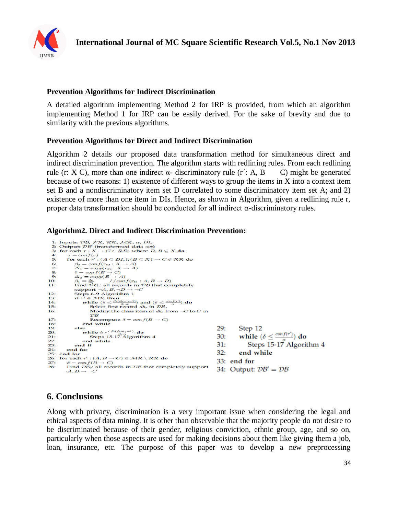

### **Prevention Algorithms for Indirect Discrimination**

A detailed algorithm implementing Method 2 for IRP is provided, from which an algorithm implementing Method 1 for IRP can be easily derived. For the sake of brevity and due to similarity with the previous algorithms.

### **Prevention Algorithms for Direct and Indirect Discrimination**

Algorithm 2 details our proposed data transformation method for simultaneous direct and indirect discrimination prevention. The algorithm starts with redlining rules. From each redlining rule (r: X C), more than one indirect  $\alpha$ - discriminatory rule (r': A, B C) might be generated because of two reasons: 1) existence of different ways to group the items in X into a context item set B and a nondiscriminatory item set D correlated to some discriminatory item set A; and 2) existence of more than one item in DIs. Hence, as shown in Algorithm, given a redlining rule r, proper data transformation should be conducted for all indirect α-discriminatory rules.

#### **Algorithm2. Direct and Indirect Discrimination Prevention:**

```
Inputs: DB, FR, RR, MR, \alpha, DI,<br>Output: DB' (transformed data set)<br>for each r : X \to C \in \mathcal{RR}, where D, B \subseteq X do
   b.
   3:4:\gamma = conf(r)<br>
for each r' : (A \subseteq DI_s), (B \subseteq X) \to C \in \mathcal{RR} do
   \overline{5}\beta_2 = conf(r_{b2} : X \rightarrow A)<br>\Delta_1 = supp(r_{b2} : X \rightarrow A)rac{6}{7}\Delta_1 = \sup_{\theta \in \Theta} (B \to C)<br>
\Delta_2 = \sup_{\theta \in \Theta} (B \to A)<br>
\beta_1 = \frac{\Delta_1}{\Delta_2} //conf(r<sub>b1</sub>: A, B \to D)<br>
Find \overline{D}B_c: all records in \overline{D}B that completely
   \mathbf{S}9:
10:
11:Find \mathcal{DB}_c: all records in L<br>support \neg A, B, \neg D \rightarrow \neg C<br>Steps 6-9 Algorithm 1<br>if r' \in \mathcal{MR} then
12:r' \in \mathcal{MR} then<br>
r' \in \mathcal{MR} then<br>
while (\delta \leq \frac{\beta_1(\beta_2 + \gamma - 1)}{\beta_2 \cdot \alpha}) and (\delta \leq \frac{\cos f(r')}{\alpha}) do<br>
Select first record db_c in \mathcal{DB}_c<br>
Modify the class item of db from \neg C to
13:14:15<sup>1</sup>Modify the class item of db_c from \neg C to C in
16:
                                    \overline{DB}17:Recompute \delta = \text{conf}(B \rightarrow C)18:
                             end while
19<sub>1</sub>29:else
                                                                                                                                                                    Step 12
                             se<br>while \delta \leq \frac{\beta_1(\beta_2 + \gamma - 1)}{\beta_2 \cdot \alpha} do<br>Steps 15-17 Algorithm 4
20:while (\delta \leq \frac{conf(r')}{a}) do
                                                                                                                                                 30:21:Steps 15-17 Algorithm 4
22:end while
                                                                                                                                                 31:23:end if
24-end for
                                                                                                                                                 32:end while
25: end for
26: for each r' : (A, B \rightarrow C) \in MR \setminus RR do
                                                                                                                                                 33: end for
                \delta = conf(B \rightarrow C)27:28:
               Find \mathcal{DB}_c all records in \mathcal{DB} that completely support
                                                                                                                                                34: Output: DB' = DB\neg A, B \rightarrow \neg C
```
# **6. Conclusions**

Along with privacy, discrimination is a very important issue when considering the legal and ethical aspects of data mining. It is other than observable that the majority people do not desire to be discriminated because of their gender, religious conviction, ethnic group, age, and so on, particularly when those aspects are used for making decisions about them like giving them a job, loan, insurance, etc. The purpose of this paper was to develop a new preprocessing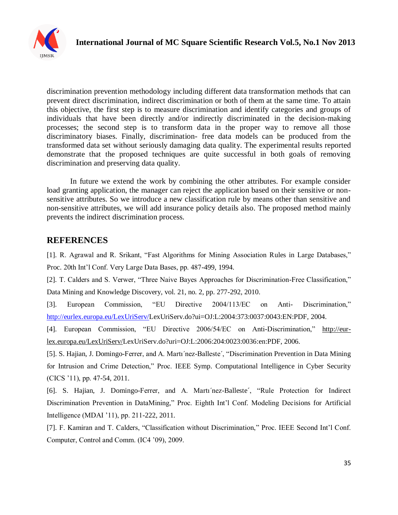

discrimination prevention methodology including different data transformation methods that can prevent direct discrimination, indirect discrimination or both of them at the same time. To attain this objective, the first step is to measure discrimination and identify categories and groups of individuals that have been directly and/or indirectly discriminated in the decision-making processes; the second step is to transform data in the proper way to remove all those discriminatory biases. Finally, discrimination- free data models can be produced from the transformed data set without seriously damaging data quality. The experimental results reported demonstrate that the proposed techniques are quite successful in both goals of removing discrimination and preserving data quality.

In future we extend the work by combining the other attributes. For example consider load granting application, the manager can reject the application based on their sensitive or nonsensitive attributes. So we introduce a new classification rule by means other than sensitive and non-sensitive attributes, we will add insurance policy details also. The proposed method mainly prevents the indirect discrimination process.

## **REFERENCES**

[1]. R. Agrawal and R. Srikant, "Fast Algorithms for Mining Association Rules in Large Databases," Proc. 20th Int'l Conf. Very Large Data Bases, pp. 487-499, 1994.

[2]. T. Calders and S. Verwer, "Three Naive Bayes Approaches for Discrimination-Free Classification," Data Mining and Knowledge Discovery, vol. 21, no. 2, pp. 277-292, 2010.

[3]. European Commission, "EU Directive 2004/113/EC on Anti- Discrimination,"

[http://eurlex.europa.eu/LexUriServ/L](http://eurlex.europa.eu/LexUriServ/)exUriServ.do?ui=OJ:L:2004:373:0037:0043:EN:PDF, 2004.

[4]. European Commission, "EU Directive 2006/54/EC on Anti-Discrimination," [http://eur](http://eur-lex.europa.eu/LexUriServ/)[lex.europa.eu/LexUriServ/L](http://eur-lex.europa.eu/LexUriServ/)exUriServ.do?uri=OJ:L:2006:204:0023:0036:en:PDF, 2006.

[5]. S. Hajian, J. Domingo-Ferrer, and A. Martı´nez-Balleste´, "Discrimination Prevention in Data Mining for Intrusion and Crime Detection," Proc. IEEE Symp. Computational Intelligence in Cyber Security (CICS '11), pp. 47-54, 2011.

[6]. S. Hajian, J. Domingo-Ferrer, and A. Martı´nez-Balleste´, "Rule Protection for Indirect Discrimination Prevention in DataMining," Proc. Eighth Int'l Conf. Modeling Decisions for Artificial Intelligence (MDAI '11), pp. 211-222, 2011.

[7]. F. Kamiran and T. Calders, "Classification without Discrimination," Proc. IEEE Second Int'l Conf. Computer, Control and Comm. (IC4 '09), 2009.